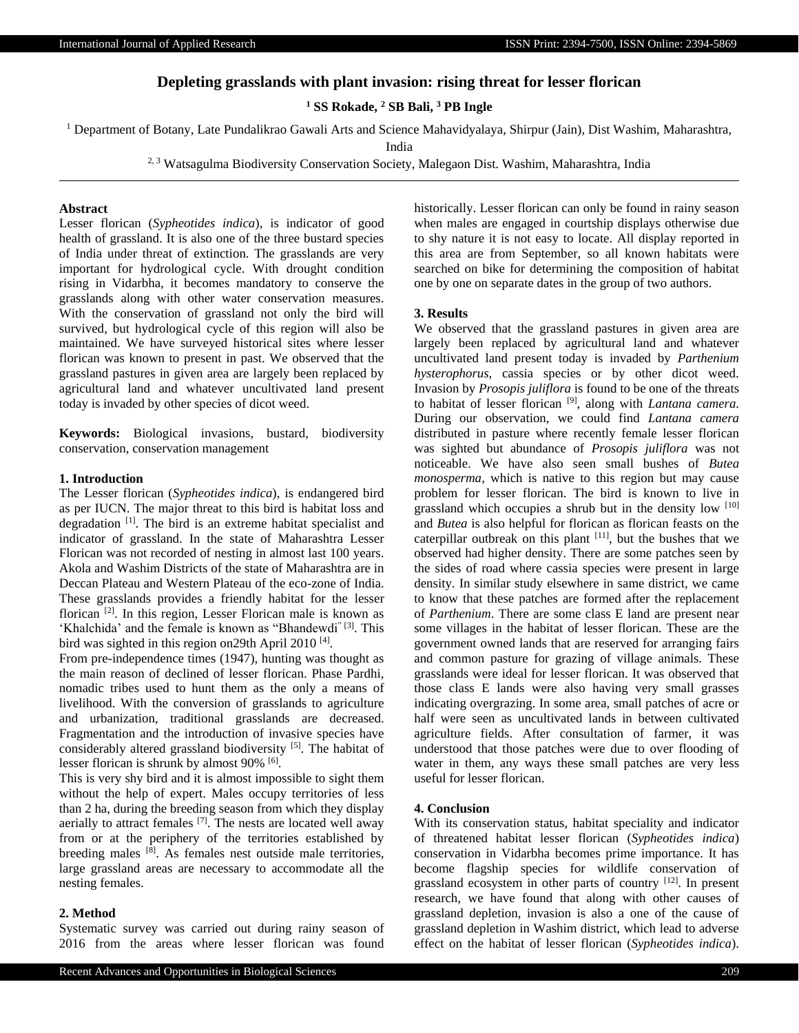# **Depleting grasslands with plant invasion: rising threat for lesser florican**

**<sup>1</sup> SS Rokade, <sup>2</sup> SB Bali, <sup>3</sup> PB Ingle**

<sup>1</sup> Department of Botany, Late Pundalikrao Gawali Arts and Science Mahavidyalaya, Shirpur (Jain), Dist Washim, Maharashtra,

India

<sup>2, 3</sup> Watsagulma Biodiversity Conservation Society, Malegaon Dist. Washim, Maharashtra, India

## **Abstract**

Lesser florican (*Sypheotides indica*), is indicator of good health of grassland. It is also one of the three bustard species of India under threat of extinction. The grasslands are very important for hydrological cycle. With drought condition rising in Vidarbha, it becomes mandatory to conserve the grasslands along with other water conservation measures. With the conservation of grassland not only the bird will survived, but hydrological cycle of this region will also be maintained. We have surveyed historical sites where lesser florican was known to present in past. We observed that the grassland pastures in given area are largely been replaced by agricultural land and whatever uncultivated land present today is invaded by other species of dicot weed.

**Keywords:** Biological invasions, bustard*,* biodiversity conservation, conservation management

## **1. Introduction**

The Lesser florican (*Sypheotides indica*), is endangered bird as per IUCN. The major threat to this bird is habitat loss and degradation [1]. The bird is an extreme habitat specialist and indicator of grassland. In the state of Maharashtra Lesser Florican was not recorded of nesting in almost last 100 years. Akola and Washim Districts of the state of Maharashtra are in Deccan Plateau and Western Plateau of the eco-zone of India. These grasslands provides a friendly habitat for the lesser florican <sup>[2]</sup>. In this region, Lesser Florican male is known as 'Khalchida' and the female is known as "Bhandewdi" [3]. This bird was sighted in this region on29th April 2010<sup>[4]</sup>.

From pre-independence times (1947), hunting was thought as the main reason of declined of lesser florican. Phase Pardhi, nomadic tribes used to hunt them as the only a means of livelihood. With the conversion of grasslands to agriculture and urbanization, traditional grasslands are decreased. Fragmentation and the introduction of invasive species have considerably altered grassland biodiversity [5]. The habitat of lesser florican is shrunk by almost 90% <sup>[6]</sup>.

This is very shy bird and it is almost impossible to sight them without the help of expert. Males occupy territories of less than 2 ha, during the breeding season from which they display aerially to attract females [7]. The nests are located well away from or at the periphery of the territories established by breeding males <sup>[8]</sup>. As females nest outside male territories, large grassland areas are necessary to accommodate all the nesting females.

#### **2. Method**

Systematic survey was carried out during rainy season of 2016 from the areas where lesser florican was found historically. Lesser florican can only be found in rainy season when males are engaged in courtship displays otherwise due to shy nature it is not easy to locate. All display reported in this area are from September, so all known habitats were searched on bike for determining the composition of habitat one by one on separate dates in the group of two authors.

### **3. Results**

We observed that the grassland pastures in given area are largely been replaced by agricultural land and whatever uncultivated land present today is invaded by *Parthenium hysterophorus,* cassia species or by other dicot weed. Invasion by *Prosopis juliflora* is found to be one of the threats to habitat of lesser florican [9], along with *Lantana camera.*  During our observation, we could find *Lantana camera*  distributed in pasture where recently female lesser florican was sighted but abundance of *Prosopis juliflora* was not noticeable. We have also seen small bushes of *Butea monosperma*, which is native to this region but may cause problem for lesser florican. The bird is known to live in grassland which occupies a shrub but in the density low [10] and *Butea* is also helpful for florican as florican feasts on the caterpillar outbreak on this plant  $[11]$ , but the bushes that we observed had higher density. There are some patches seen by the sides of road where cassia species were present in large density. In similar study elsewhere in same district, we came to know that these patches are formed after the replacement of *Parthenium*. There are some class E land are present near some villages in the habitat of lesser florican. These are the government owned lands that are reserved for arranging fairs and common pasture for grazing of village animals. These grasslands were ideal for lesser florican. It was observed that those class E lands were also having very small grasses indicating overgrazing. In some area, small patches of acre or half were seen as uncultivated lands in between cultivated agriculture fields. After consultation of farmer, it was understood that those patches were due to over flooding of water in them, any ways these small patches are very less useful for lesser florican.

#### **4. Conclusion**

With its conservation status, habitat speciality and indicator of threatened habitat lesser florican (*Sypheotides indica*) conservation in Vidarbha becomes prime importance. It has become flagship species for wildlife conservation of grassland ecosystem in other parts of country [12]. In present research, we have found that along with other causes of grassland depletion, invasion is also a one of the cause of grassland depletion in Washim district, which lead to adverse effect on the habitat of lesser florican (*Sypheotides indica*).